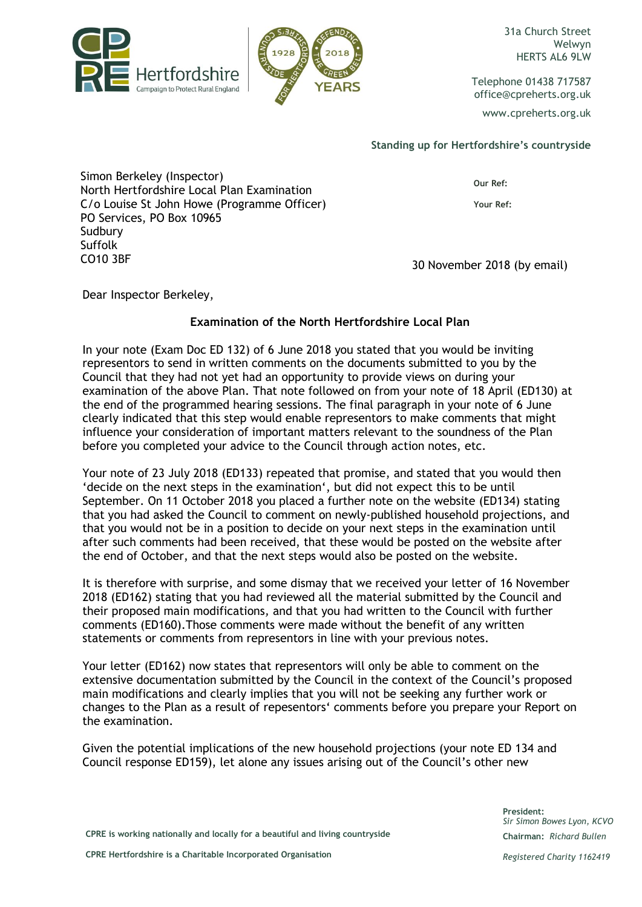



Welwyn HERTS AL6 9LW

Telephone 01438 717587 office@cpreherts.org.uk www.cpreherts.org.uk

## **Standing up for Hertfordshire's countryside**

Simon Berkeley (Inspector) North Hertfordshire Local Plan Examination C/o Louise St John Howe (Programme Officer) PO Services, PO Box 10965 **Sudbury** Suffolk CO10 3BF 30 November 2018 (by email)

**Our Ref:**

**Your Ref:** 

Dear Inspector Berkeley,

## **Examination of the North Hertfordshire Local Plan**

In your note (Exam Doc ED 132) of 6 June 2018 you stated that you would be inviting representors to send in written comments on the documents submitted to you by the Council that they had not yet had an opportunity to provide views on during your examination of the above Plan. That note followed on from your note of 18 April (ED130) at the end of the programmed hearing sessions. The final paragraph in your note of 6 June clearly indicated that this step would enable representors to make comments that might influence your consideration of important matters relevant to the soundness of the Plan before you completed your advice to the Council through action notes, etc.

Your note of 23 July 2018 (ED133) repeated that promise, and stated that you would then 'decide on the next steps in the examination', but did not expect this to be until September. On 11 October 2018 you placed a further note on the website (ED134) stating that you had asked the Council to comment on newly-published household projections, and that you would not be in a position to decide on your next steps in the examination until after such comments had been received, that these would be posted on the website after the end of October, and that the next steps would also be posted on the website.

It is therefore with surprise, and some dismay that we received your letter of 16 November 2018 (ED162) stating that you had reviewed all the material submitted by the Council and their proposed main modifications*,* and that you had written to the Council with further comments (ED160).Those comments were made without the benefit of any written statements or comments from representors in line with your previous notes.

Your letter (ED162) now states that representors will only be able to comment on the extensive documentation submitted by the Council in the context of the Council's proposed main modifications and clearly implies that you will not be seeking any further work or changes to the Plan as a result of repesentors' comments before you prepare your Report on the examination.

Given the potential implications of the new household projections (your note ED 134 and Council response ED159), let alone any issues arising out of the Council's other new

> **President:** *Sir Simon Bowes Lyon, KCVO* **Chairman:** *Richard Bullen*

**CPRE is working nationally and locally for a beautiful and living countryside**